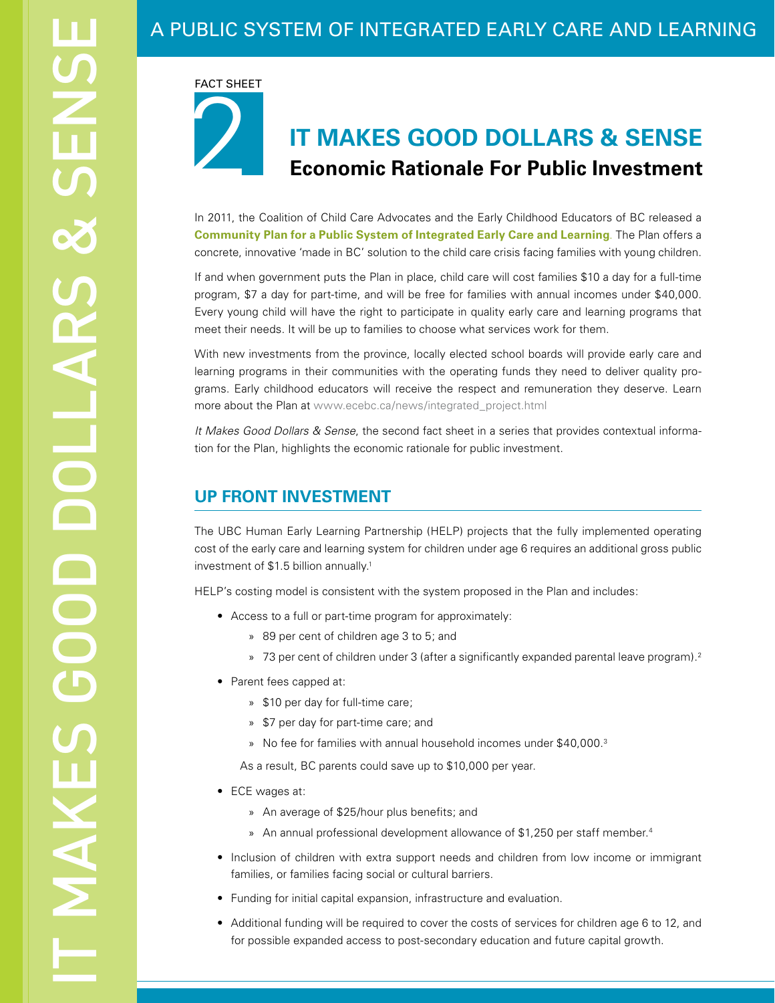# A PUBLIC SYSTEM OF INTEGRATED EARLY CARE AND LEARNING

2 FACT SHEET

# **IT MAKES GOOD DOLLARS & SENSE Economic Rationale For Public Investment**

In 2011, the Coalition of Child Care Advocates and the Early Childhood Educators of BC released a **Community Plan for a Public System of Integrated Early Care and Learning**. The Plan offers a concrete, innovative 'made in BC' solution to the child care crisis facing families with young children.

If and when government puts the Plan in place, child care will cost families \$10 a day for a full-time program, \$7 a day for part-time, and will be free for families with annual incomes under \$40,000. Every young child will have the right to participate in quality early care and learning programs that meet their needs. It will be up to families to choose what services work for them.

With new investments from the province, locally elected school boards will provide early care and learning programs in their communities with the operating funds they need to deliver quality programs. Early childhood educators will receive the respect and remuneration they deserve. Learn more about the Plan at [www.ecebc.ca/news/integrated\\_project.html](http://www.ecebc.ca/news/integrated_project.html)

*It Makes Good Dollars & Sense*, the second fact sheet in a series that provides contextual information for the Plan, highlights the economic rationale for public investment.

## **UP FRONT INVESTMENT**

The UBC Human Early Learning Partnership (HELP) projects that the fully implemented operating cost of the early care and learning system for children under age 6 requires an additional gross public investment of \$1.5 billion annually.1

HELP's costing model is consistent with the system proposed in the Plan and includes:

- • Access to a full or part-time program for approximately:
	- » 89 per cent of children age 3 to 5; and
	- » 73 per cent of children under 3 (after a significantly expanded parental leave program).2
- Parent fees capped at:
	- » \$10 per day for full-time care;
	- » \$7 per day for part-time care; and
	- » No fee for families with annual household incomes under \$40,000.3

As a result, BC parents could save up to \$10,000 per year.

- ECE wages at:
	- » An average of \$25/hour plus benefits; and
	- » An annual professional development allowance of \$1,250 per staff member.4
- Inclusion of children with extra support needs and children from low income or immigrant families, or families facing social or cultural barriers.
- • Funding for initial capital expansion, infrastructure and evaluation.
- Additional funding will be required to cover the costs of services for children age 6 to 12, and for possible expanded access to post-secondary education and future capital growth.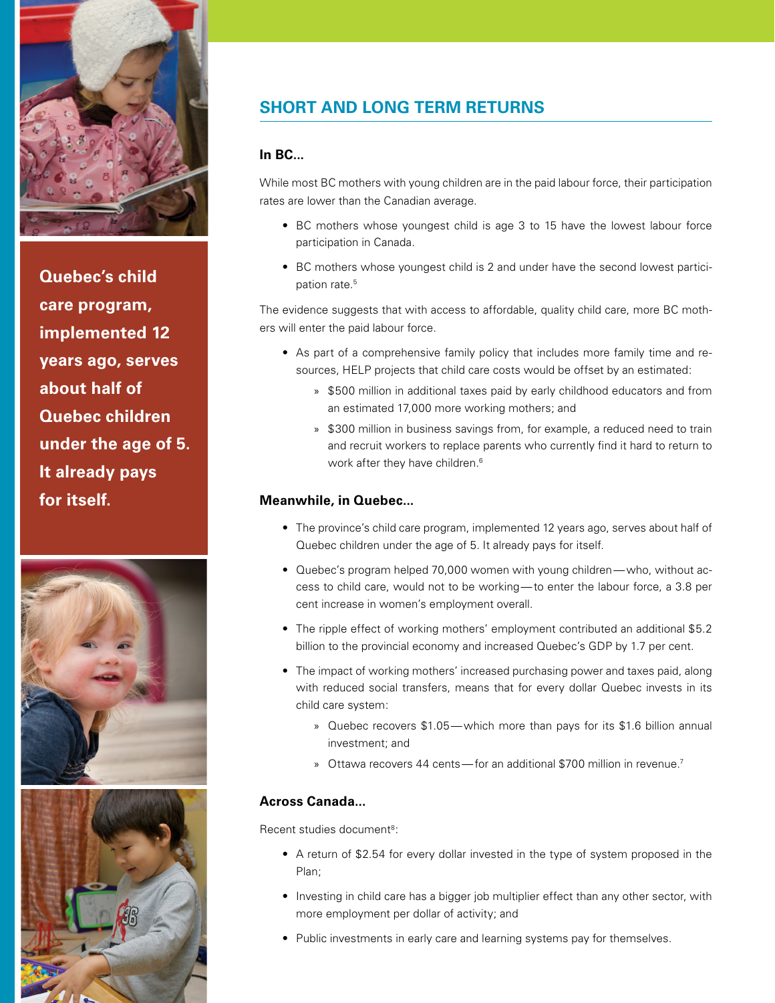

**Quebec's child care program, implemented 12 years ago, serves about half of Quebec children under the age of 5. It already pays for itself.**





# **SHORT AND LONG TERM RETURNS**

#### **In BC...**

While most BC mothers with young children are in the paid labour force, their participation rates are lower than the Canadian average.

- BC mothers whose youngest child is age 3 to 15 have the lowest labour force participation in Canada.
- BC mothers whose youngest child is 2 and under have the second lowest participation rate.<sup>5</sup>

The evidence suggests that with access to affordable, quality child care, more BC mothers will enter the paid labour force.

- As part of a comprehensive family policy that includes more family time and resources, HELP projects that child care costs would be offset by an estimated:
	- » \$500 million in additional taxes paid by early childhood educators and from an estimated 17,000 more working mothers; and
	- » \$300 million in business savings from, for example, a reduced need to train and recruit workers to replace parents who currently find it hard to return to work after they have children.<sup>6</sup>

#### **Meanwhile, in Quebec...**

- The province's child care program, implemented 12 years ago, serves about half of Quebec children under the age of 5. It already pays for itself.
- Quebec's program helped 70,000 women with young children—who, without access to child care, would not to be working—to enter the labour force, a 3.8 per cent increase in women's employment overall.
- The ripple effect of working mothers' employment contributed an additional \$5.2 billion to the provincial economy and increased Quebec's GDP by 1.7 per cent.
- The impact of working mothers' increased purchasing power and taxes paid, along with reduced social transfers, means that for every dollar Quebec invests in its child care system:
	- » Quebec recovers \$1.05—which more than pays for its \$1.6 billion annual investment; and
	- » Ottawa recovers 44 cents—for an additional \$700 million in revenue.<sup>7</sup>

#### **Across Canada...**

Recent studies document<sup>8</sup>:

- A return of \$2.54 for every dollar invested in the type of system proposed in the Plan;
- Investing in child care has a bigger job multiplier effect than any other sector, with more employment per dollar of activity; and
- Public investments in early care and learning systems pay for themselves.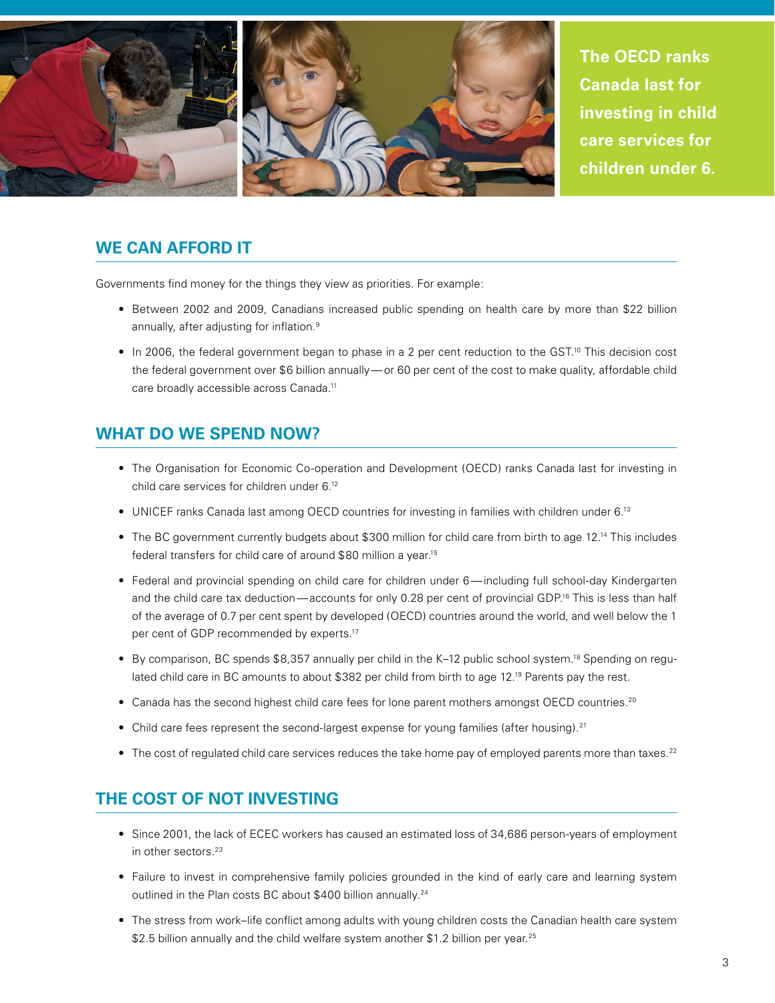

### **WE CAN AFFORD IT**

Governments find money for the things they view as priorities. For example:

- Between 2002 and 2009, Canadians increased public spending on health care by more than \$22 billion annually, after adjusting for inflation.<sup>9</sup>
- In 2006, the federal government began to phase in a 2 per cent reduction to the GST.<sup>10</sup> This decision cost the federal government over \$6 billion annually—or 60 per cent of the cost to make quality, affordable child care broadly accessible across Canada.11

## **WHAT DO WE SPEND NOW?**

- The Organisation for Economic Co-operation and Development (OECD) ranks Canada last for investing in child care services for children under 6.12
- UNICEF ranks Canada last among OECD countries for investing in families with children under 6.<sup>13</sup>
- The BC government currently budgets about \$300 million for child care from birth to age 12.<sup>14</sup> This includes federal transfers for child care of around \$80 million a year.15
- Federal and provincial spending on child care for children under 6—including full school-day Kindergarten and the child care tax deduction—accounts for only 0.28 per cent of provincial GDP.<sup>16</sup> This is less than half of the average of 0.7 per cent spent by developed (OECD) countries around the world, and well below the 1 per cent of GDP recommended by experts.17
- By comparison, BC spends \$8,357 annually per child in the K–12 public school system.<sup>18</sup> Spending on regulated child care in BC amounts to about \$382 per child from birth to age 12.<sup>19</sup> Parents pay the rest.
- Canada has the second highest child care fees for lone parent mothers amongst OECD countries.<sup>20</sup>
- Child care fees represent the second-largest expense for young families (after housing).<sup>21</sup>
- $\bullet$  The cost of regulated child care services reduces the take home pay of employed parents more than taxes.<sup>22</sup>

## **THE COST OF NOT INVESTING**

- Since 2001, the lack of ECEC workers has caused an estimated loss of 34,686 person-years of employment in other sectors.<sup>23</sup>
- Failure to invest in comprehensive family policies grounded in the kind of early care and learning system outlined in the Plan costs BC about \$400 billion annually.<sup>24</sup>
- The stress from work–life conflict among adults with young children costs the Canadian health care system \$2.5 billion annually and the child welfare system another \$1.2 billion per year.<sup>25</sup>